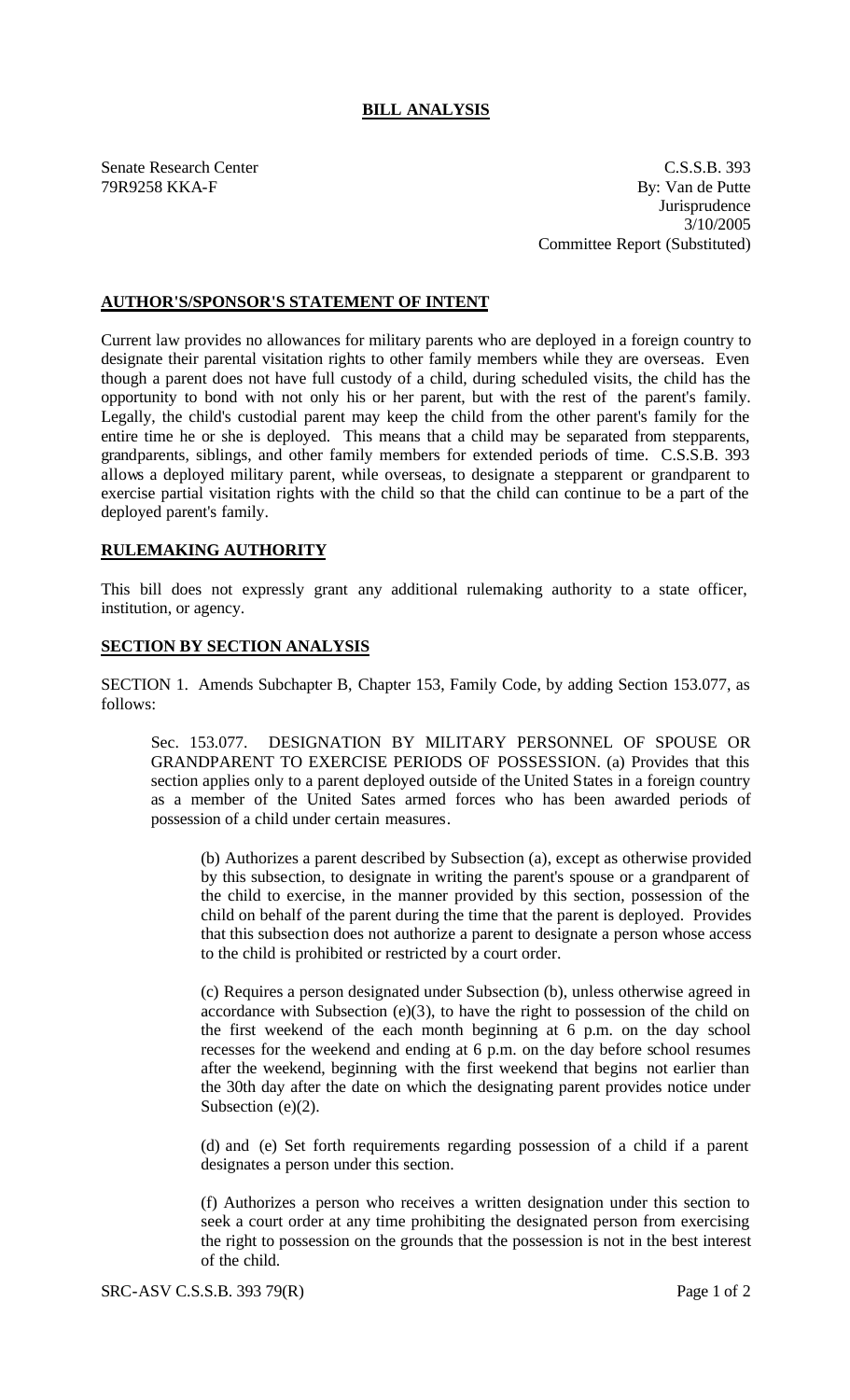## **BILL ANALYSIS**

Senate Research Center C.S.S.B. 393 79R9258 KKA-F By: Van de Putte **Jurisprudence** 3/10/2005 Committee Report (Substituted)

## **AUTHOR'S/SPONSOR'S STATEMENT OF INTENT**

Current law provides no allowances for military parents who are deployed in a foreign country to designate their parental visitation rights to other family members while they are overseas. Even though a parent does not have full custody of a child, during scheduled visits, the child has the opportunity to bond with not only his or her parent, but with the rest of the parent's family. Legally, the child's custodial parent may keep the child from the other parent's family for the entire time he or she is deployed. This means that a child may be separated from stepparents, grandparents, siblings, and other family members for extended periods of time. C.S.S.B. 393 allows a deployed military parent, while overseas, to designate a stepparent or grandparent to exercise partial visitation rights with the child so that the child can continue to be a part of the deployed parent's family.

## **RULEMAKING AUTHORITY**

This bill does not expressly grant any additional rulemaking authority to a state officer, institution, or agency.

## **SECTION BY SECTION ANALYSIS**

SECTION 1. Amends Subchapter B, Chapter 153, Family Code, by adding Section 153.077, as follows:

Sec. 153.077. DESIGNATION BY MILITARY PERSONNEL OF SPOUSE OR GRANDPARENT TO EXERCISE PERIODS OF POSSESSION. (a) Provides that this section applies only to a parent deployed outside of the United States in a foreign country as a member of the United Sates armed forces who has been awarded periods of possession of a child under certain measures.

(b) Authorizes a parent described by Subsection (a), except as otherwise provided by this subsection, to designate in writing the parent's spouse or a grandparent of the child to exercise, in the manner provided by this section, possession of the child on behalf of the parent during the time that the parent is deployed. Provides that this subsection does not authorize a parent to designate a person whose access to the child is prohibited or restricted by a court order.

(c) Requires a person designated under Subsection (b), unless otherwise agreed in accordance with Subsection  $(e)(3)$ , to have the right to possession of the child on the first weekend of the each month beginning at 6 p.m. on the day school recesses for the weekend and ending at 6 p.m. on the day before school resumes after the weekend, beginning with the first weekend that begins not earlier than the 30th day after the date on which the designating parent provides notice under Subsection (e)(2).

(d) and (e) Set forth requirements regarding possession of a child if a parent designates a person under this section.

(f) Authorizes a person who receives a written designation under this section to seek a court order at any time prohibiting the designated person from exercising the right to possession on the grounds that the possession is not in the best interest of the child.